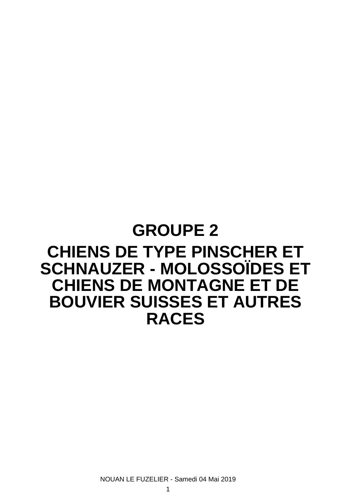# **GROUPE 2 CHIENS DE TYPE PINSCHER ET SCHNAUZER - MOLOSSOÏDES ET CHIENS DE MONTAGNE ET DE BOUVIER SUISSES ET AUTRES RACES**

NOUAN LE FUZELIER - Samedi 04 Mai 2019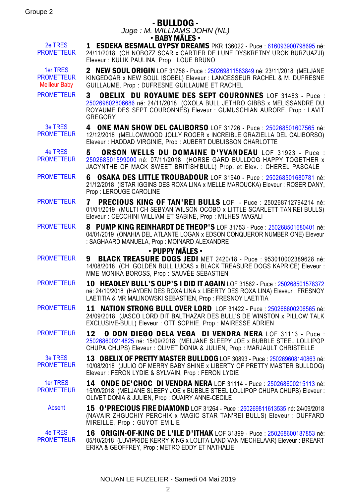# - BULLDOG -

Juge : M. WILLIAMS JOHN (NL) • BABY MÂLES •

2e TRES PROMETTEUR

1 ESDEKA BESMALL GYPSY DREAMS PKR 136022 - Puce : [616093900798695](https://www.centrale-canine.fr/lofselect/chien-ws/7216687) né: 24/11/2018 (CH NOBOZZ SCAR x CARTIER DE LUNE DYSKRETNY UROK BURZUAZJI) Eleveur : KULIK PAULINA, Prop : LOUE BRUNO

1er TRES PROMETTEUR Meilleur Baby 2 NEW SOUL ORIGIN LOF 31756 - Puce : [250269811583849](https://www.centrale-canine.fr/lofselect/chien-ws/7183418) né: 23/11/2018 (MFLJANE KINGEDGAR x NEW SOUL ISOBEL) Eleveur : LANCESSEUR RACHEL & M. DUFRESNE GUILLAUME, Prop : DUFRESNE GUILLAUME ET RACHEL

PROMETTEUR 3 OBELIX DU ROYAUME DES SEPT COURONNES LOF 31483 - Puce : [250269802806686](https://www.centrale-canine.fr/lofselect/chien-ws/7153551) né: 24/11/2018 (OXOLA BULL JETHRO GIBBS x MELISSANDRE DU ROYAUME DES SEPT COURONNES) Eleveur : GUMUSCHIAN AURORE, Prop : LAVIT **GREGORY** 

3e TRES **PROMETTEUR** 4 ONE MAN SHOW DEL CALIBORSO LOF 31726 - Puce : [250268501607565](https://www.centrale-canine.fr/lofselect/chien-ws/7178338) né: 12/12/2018 (MELLOWMOOD JOLLY ROGER x INCREIBLE GRAZIELLA DEL CALIBORSO) Eleveur : HADDAD VIRGINIE, Prop : AUBERT DUBUISSON CHARLOTTE

4e TRES **PROMETTEUR** 5 ORSON WELLS DU DOMAINE D'YVANDEAU LOF 31923 - Puce : [250268501599000](https://www.centrale-canine.fr/lofselect/chien-ws/7206268) né: 07/11/2018 (HORSE GARD BULLDOG HAPPY TOGETHER x JACYNTHE OF MACK SWEET BRITISH'BULL) Prop. et Elev. : CHEREL PASCALE

PROMETTEUR 6 OSAKA DES LITTLE TROUBADOUR LOF 31940 - Puce : [250268501680781](https://www.centrale-canine.fr/lofselect/chien-ws/7208950) né: 21/12/2018 (ISTAR IGGINS DES ROXA LINA x MELLE MAROUCKA) Eleveur : ROSER DANY, Prop : LEROUGE CAROLINE

PROMETTEUR 7 PRECIOUS KING OF TAN'REI BULLS LOF - Puce : 250268712794214 né: 01/01/2019 (MULTI CH SEBYAN WILSON OCOBO x LITTLE SCARLETT TAN'REI BULLS) Eleveur : CECCHINI WILLIAM ET SABINE, Prop : MILHES MAGALI

PROMETTEUR 8 PUMP KING REINHARDT DE THEOP'S LOF 31753 - Puce : [250268501680401](https://www.centrale-canine.fr/lofselect/chien-ws/7182937) né: 04/01/2019 (ONAHIA DEL ATLANTE LOGAN x EDSON CONQUEROR NUMBER ONE) Eleveur : SAGHAARD MANUELA, Prop : MOINARD ALEXANDRE

#### • PUPPY MÂLES •

- PROMETTEUR 9 BLACK TREASURE DOGS JEDI MET 2420/18 Puce : 953010002389628 né: 14/08/2018 (CH. GOLDEN BULL LUCAS x BLACK TREASURE DOGS KAPRICE) Eleveur : MME MONIKA BOROSS, Prop : SAUVÉE SÉBASTIEN
- PROMETTEUR 10 HEADLEY BULL'S OUP'S I DID IT AGAIN LOF 31562 Puce : [250268501578372](https://www.centrale-canine.fr/lofselect/chien-ws/7159231) né: 24/10/2018 (HAYDEN DES ROXA LINA x LIBERTY DES ROXA LINA) Eleveur : FRESNOY LAETITIA & MR MALINOWSKI SEBASTIEN, Prop : FRESNOY LAETITIA
- PROMETTEUR 11 NATION STRONG BULL OVER LORD LOF 31422 Puce : [250268600206565](https://www.centrale-canine.fr/lofselect/chien-ws/7145640) né: 24/09/2018 (JASCO LORD DIT BALTHAZAR DES BULL'S DE WINSTON x PILLOW TALK EXCLUSIVE-BULL) Eleveur : OTT SOPHIE, Prop : MAIRESSE ADRIEN

PROMETTEUR 12 O DON DIEGO DELA VEGA DI VENDRA NERA LOF 31113 - Puce : [250268600214825](https://www.centrale-canine.fr/lofselect/chien-ws/7103305) né: 15/09/2018 (MELJANE SLEEPY JOE x BUBBLE STEEL LOLLIPOP CHUPA CHUPS) Eleveur : OLIVET DONIA & JULIEN, Prop : MARJAULT CHRISTELLE

3e TRES **PROMETTEUR** 13 OBELIX OF PRETTY MASTER BULLDOG LOF 30893 - Puce : [250269608140863](https://www.centrale-canine.fr/lofselect/chien-ws/7070141) né: 10/08/2018 (JULIO OF MERRY BABY SHINE x LIBERTY OF PRETTY MASTER BULLDOG) Eleveur : FERON LYDIE & SYLVAIN, Prop : FERON LYDIE

1er TRES PROMETTEUR 14 ONDE DE'CHOC DI VENDRA NERA LOF 31114 - Puce : [250268600215113](https://www.centrale-canine.fr/lofselect/chien-ws/7103306) né: 15/09/2018 (MELJANE SLEEPY JOE x BUBBLE STEEL LOLLIPOP CHUPA CHUPS) Eleveur : OLIVET DONIA & JULIEN, Prop : OUAIRY ANNE-CECILE

Absent 15 O'PRECIOUS FIRE DIAMOND LOF 31264 - Puce : [250269811613535](https://www.centrale-canine.fr/lofselect/chien-ws/7126465) né: 24/09/2018 (NAVAIR ZHGUCHIY PERCHIK x MAGIC STAR TAN'REI BULLS) Eleveur : DUFFARD MIREILLE, Prop : GUYOT EMILIE

4e TRES **PROMETTEUR** 16 ORIGIN-OF-KING DE L'ILE D'ITHAK LOF 31399 - Puce : [250268600187853](https://www.centrale-canine.fr/lofselect/chien-ws/7140363) né: 05/10/2018 (LUVIPRIDE KERRY KING x LOLITA LAND VAN MECHELAAR) Eleveur : BREART ERIKA & GEOFFREY, Prop : METRO EDDY ET NATHALIE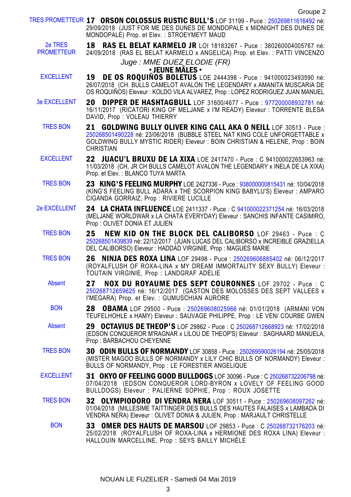|                              | TRES PROMETTEUR 17 ORSON COLOSSUS RUSTIC BULL'S LOF 31199 - Puce : 250269811616492 né:<br>29/09/2018 (JUST FOR ME DES DUNES DE MONDOPALE x MIDNIGHT DES DUNES DE<br>MONDOPALE) Prop. et Elev.: STROEYMEYT MAUD                                        |
|------------------------------|-------------------------------------------------------------------------------------------------------------------------------------------------------------------------------------------------------------------------------------------------------|
| 2e TRES<br><b>PROMETTEUR</b> | RAS EL BELAT KARMELO JR LOI 18183267 - Puce : 380260004005767 né:<br>18<br>24/09/2018 (RAS EL BELAT KARMELO x ANGELICA) Prop. et Elev.: PATTI VINCENZO                                                                                                |
|                              | Juge: MME DUEZ ELODIE (FR)<br>• JEUNE MALES •                                                                                                                                                                                                         |
| <b>EXCELLENT</b>             | <b>DE OS ROQUINOS BOLETUS</b> LOE 2444398 - Puce : 941000023493590 né:<br>19<br>26/07/2018 (CH. BULLS CAMELOT AVALON THE LEGENDARY x AMANITA MUSCARIA DE<br>OS ROQUIÑOS) Eleveur : KOLDO VILA ALVAREZ, Prop : LOPEZ RODRIGUEZ JUAN MANUEL             |
| <b>3e EXCELLENT</b>          | 20<br><b>DIPPER DE HASHTAGBULL</b> LOF 31600/4677 - Puce : 977200008932781 né:<br>16/11/2017 (RICATORI KING OF MELJANE x I'M READY) Eleveur : TORRENTE BLESA<br>DAVID, Prop: VOLEAU THIERRY                                                           |
| <b>TRES BON</b>              | <b>GOLDWING BULLY OLIVER KING CALL AKA O NEILL LOF 30513 - Puce :</b><br>21<br>250268501490228 né: 23/06/2018 (BUBBLE STEEL NAT KING COLE UNFORGETTABLE x<br>GOLDWING BULLY MYSTIC RIDER) Eleveur : BOIN CHRISTIAN & HELENE, Prop : BOIN<br>CHRISTIAN |
| <b>EXCELLENT</b>             | <b>22 JUACU'L BRUXU DE LA XIXA</b> LOE 2417470 - Puce : C 941000022653963 né:<br>11/03/2018 (CH, JR CH BULLS CAMELOT AVALON THE LEGENDARY x INELA DE LA XIXA)<br>Prop. et Elev.: BLANCO TUYA MARTA                                                    |
| <b>TRES BON</b>              | <b>23 KING'S FEELING MURPHY</b> LOE 2427336 - Puce : 938000000815431 né: 10/04/2018<br>(KING'S FEELING BULL ADARA x THE SCORPION KING BABYLU'S) Eleveur : AMPARO<br>CIGANDA GORRAIZ, Prop: RIVIERE LUCILLE                                            |
| <b>2e EXCELLENT</b>          | 24 LA CHATA INFLUENCE LOE 2411337 - Puce : C 941000022371254 né: 16/03/2018<br>(MELJANE WORLDWAR x LA CHATA EVERYDAY) Eleveur : SANCHIS INFANTE CASIMIRO,<br>Prop: OLIVET DONIA ET JULIEN                                                             |
| <b>TRES BON</b>              | 25<br><b>NEW KID ON THE BLOCK DEL CALIBORSO</b> LOF 29463 - Puce : C<br>250268501439839 né: 22/12/2017 (JUAN LUCAS DEL CALIBORSO x INCREIBLE GRAZIELLA<br>DEL CALIBORSO) Eleveur : HADDAD VIRGINIE, Prop : MAGUES MARIE                               |
| <b>TRES BON</b>              | <b>NINJA DES ROXA LINA</b> LOF 29498 - Puce: 250269606885402 né: 06/12/2017<br>26<br>(ROYALFLUSH OF ROXA-LINA x MY DREAM IMMORTALITY SEXY BULLY) Eleveur :<br>TOUTAIN VIRGINIE, Prop : LANDGRAF ADÉLIE                                                |
| <b>Absent</b>                | 27<br><b>NOX DU ROYAUME DES SEPT COURONNES</b> LOF 29702 - Puce : C<br>250268712659625 né: 16/12/2017 (GASTON DES MOLOSSES DES SEPT VALLEES x<br>I'MEGARA) Prop. et Elev. : GUMUSCHIAN AURORE                                                         |
| <b>BON</b>                   | 28<br><b>OBAMA</b> LOF 29500 - Puce: 250269608025966 né: 01/01/2018 (ARMANI VON<br>TEUFELHOHLE x HAMY) Eleveur : SAUVAGE PHILIPPE, Prop : LE VEN/ COURBE GWEN                                                                                         |
| <b>Absent</b>                | <b>29 OCTAVIUS DE THEOP'S</b> LOF 29862 - Puce : C 250268712668923 né: 17/02/2018<br>(EDSON CONQUEROR M'RAGNAR x LILOU DE THEOP'S) Eleveur : SAGHAARD MANUELA.<br>Prop: BARBACHOU CHEYENNE                                                            |
| <b>TRES BON</b>              | 30 ODIN BULLS OF NORMANDY LOF 30858 - Puce : 250269590026194 né: 25/05/2018<br>(MISTER MAGOO BULLS OF NORMANDY x LILY CHIC BULLS OF NORMANDY) Eleveur :<br>BULLS OF NORMANDY, Prop: LE FORESTIER ANGELIQUE                                            |
| <b>EXCELLENT</b>             | 31 OKYO OF FEELING GOOD BULLDOGS LOF 30096 - Puce : C 250268732206798 né:<br>07/04/2018 (EDSON CONQUEROR LORD-BYRON x LOVELY OF FEELING GOOD<br>BULLDOGS) Eleveur : PALIERNE SOPHIE, Prop : ROUX JOSETTE                                              |
| <b>TRES BON</b>              | 32 OLYMPIODORO DI VENDRA NERA LOF 30511 - Puce : 250269608097262 né:<br>01/04/2018 (MILLESIME TAITTINGER DES BULLS DES HAUTES FALAISES x LAMBADA DI<br>VENDRA NERA) Eleveur : OLIVET DONIA & JULIEN, Prop : MARJAULT CHRISTELLE                       |
| <b>BON</b>                   | <b>33 OMER DES HAUTS DE MARSOU</b> LOF 29853 - Puce : C 250268732176203 né:<br>25/02/2018 (ROYALFLUSH OF ROXA-LINA x HERMIONE DES ROXA LINA) Eleveur :<br>HALLOUIN MARCELLINE, Prop: SEYS BAILLY MICHÈLE                                              |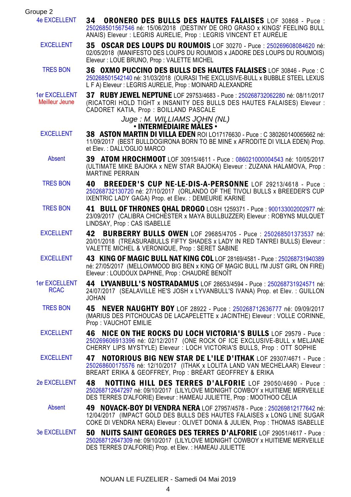| Groupe 2                               |                                                                                                                                                                                                                                             |
|----------------------------------------|---------------------------------------------------------------------------------------------------------------------------------------------------------------------------------------------------------------------------------------------|
| <b>4e EXCELLENT</b>                    | 34<br><b>ORONERO DES BULLS DES HAUTES FALAISES</b> LOF 30868 - Puce :<br>250268501567546 né: 15/06/2018 (DESTINY DE ORO GRASO x KINGS' FEELING BULL<br>ANAIS) Eleveur : LEGRIS AURELIE, Prop : LEGRIS VINCENT ET AURÉLIE                    |
| <b>EXCELLENT</b>                       | 35 OSCAR DES LOUPS DU ROUMOIS LOF 30270 - Puce : 250269608084620 né:<br>02/05/2018 (MANIFESTO DES LOUPS DU ROUMOIS x JADORE DES LOUPS DU ROUMOIS)<br>Eleveur : LOUE BRUNO, Prop : VALETTE MICHEL                                            |
| <b>TRES BON</b>                        | 36 OXMO PUCCINO DES BULLS DES HAUTES FALAISES LOF 30846 - Puce : C<br>250268501542140 né: 31/03/2018 (OURASI THE EXCLUSIVE-BULL x BUBBLE STEEL LEXUS<br>L F A) Eleveur : LEGRIS AURELIE, Prop : MOINARD ALEXANDRE                           |
| <b>1er EXCELLENT</b><br>Meilleur Jeune | 37 RUBY JEWEL NEPTUNE LOF 29753/4683 - Puce: 250268732062280 né: 08/11/2017<br>(RICATORI HOLD TIGHT x INSANITY DES BULLS DES HAUTES FALAISES) Eleveur :<br>CADORET KATIA, Prop : BOILLAND PASCALE                                           |
|                                        | Juge: M. WILLIAMS JOHN (NL)                                                                                                                                                                                                                 |
| <b>EXCELLENT</b>                       | $\bm{\cdot}$ intermediaire males $\bm{\cdot}$<br>38 ASTON MARTIN DI VILLA EDEN ROI LO17176630 - Puce : C 380260140065662 né:<br>11/09/2017 (BEST BULLDOGIRONA BORN TO BE MINE x AFRODITE DI VILLA EDEN) Prop.<br>et Elev.: DALL'OGLIO MARCO |
| Absent                                 | <b>39 ATOM HROCHMOOT</b> LOF 30915/4611 - Puce : 086021000004543 né: 10/05/2017<br>(ULTIMATE MIKE BAJOKA x NEW STAR BAJOKA) Eleveur : ZUZANA HALAMOVA, Prop :<br><b>MARTINE PERRAIN</b>                                                     |
| <b>TRES BON</b>                        | <b>BREEDER'S CUP NE-LE-DIS-A-PERSONNE LOF 29213/4618 - Puce:</b><br>40<br>250268732130720 né: 27/10/2017 (ORLANDO OF THE TIVOLI BULLS x BREEDER'S CUP<br>IXENTRIC LADY GAGA) Prop. et Elev. : DEMEURIE KARINE                               |
| <b>TRES BON</b>                        | 41 BULL OF THRONES OHAL DROGO LOSH 1259371 - Puce : 900133002002977 né:<br>23/09/2017 (CALIBRA CHICHESTER x MAYA BULLBUZZER) Eleveur : ROBYNS MULQUET<br>LINDSAY, Prop: CAS ISABELLE                                                        |
| <b>EXCELLENT</b>                       | BURBERRY BULLS OWEN LOF 29685/4705 - Puce : 250268501373537 né:<br>42<br>20/01/2018 (TREASURABULLS FIFTY SHADES x LADY IN RED TAN'REI BULLS) Eleveur:<br>VALETTE MICHEL & VERONIQUE, Prop : SERET SABINE                                    |
| <b>EXCELLENT</b>                       | 43 KING OF MAGIC BULL NAT KING COL LOF 28169/4581 - Puce : 250268731940389<br>né: 27/05/2017 (MELLOWMOOD BIG BEN x KING OF MAGIC BULL I'M JUST GIRL ON FIRE)<br>Eleveur : LOUDOUX DAPHNE, Prop : CHAUDRÉ BENOÎT                             |
| <b>1er EXCELLENT</b><br><b>RCAC</b>    | 44 LYVANBULL'S NOSTRADAMUS LOF 28653/4594 - Puce : 250268731924571 né:<br>24/07/2017 (SEALAVILLE HE'S JOSH x LYVANBULL'S IVANA) Prop. et Elev. : GUILLON<br><b>JOHAN</b>                                                                    |
| <b>TRES BON</b>                        | NEVER NAUGHTY BOY LOF 28922 - Puce : 250268712636777 né: 09/09/2017<br>45<br>(MARIUS DES PITCHOUCAS DE LACAPELETTE x JACINTHE) Eleveur : VOLLE CORINNE,<br>Prop: VAUCHOT EMILIE                                                             |
| <b>EXCELLENT</b>                       | 46 NICE ON THE ROCKS DU LOCH VICTORIA'S BULLS LOF 29579 - Puce:<br>250269606913396 né: 02/12/2017 (ONE ROCK OF ICE EXCLUSIVE-BULL x MELJANE<br>CHERRY LIPS MYSTYLE) Eleveur : LOCH VICTORIA'S BULLS, Prop : OTT SOPHIE                      |
| <b>EXCELLENT</b>                       | 47 NOTORIOUS BIG NEW STAR DE L'ILE D'ITHAK LOF 29307/4671 - Puce :<br>250268600175576 né: 12/10/2017 (ITHAK x LOLITA LAND VAN MECHELAAR) Eleveur :<br>BREART ERIKA & GEOFFREY, Prop : BRÉART GEOFFREY & ERIKA                               |
| <b>2e EXCELLENT</b>                    | 48 -<br><b>NOTTING HILL DES TERRES D'ALFORIE</b> LOF 29050/4690 - Puce :<br>250268712647297 né: 09/10/2017 (LILYLOVE MIDNIGHT COWBOY x HUITIEME MERVEILLE<br>DES TERRES D'ALFORIE) Eleveur : HAMEAU JULIETTE, Prop : MOOTHOO CÉLIA          |
| <b>Absent</b>                          | 49 NOVACK-BOY DI VENDRA NERA LOF 27957/4578 - Puce : 250269812177642 né:<br>12/04/2017 (IMPACT GOLD DES BULLS DES HAUTES FALAISES x LONG LINE SUGAR<br>COKE DI VENDRA NERA) Eleveur : OLIVET DONIA & JULIEN, Prop : THOMAS ISABELLE         |
| <b>3e EXCELLENT</b>                    | 50 NUITS SAINT GEORGES DES TERRES D'ALFORIE LOF 29051/4617 - Puce :<br>250268712647309 né: 09/10/2017 (LILYLOVE MIDNIGHT COWBOY x HUITIEME MERVEILLE<br>DES TERRES D'ALFORIE) Prop. et Elev. : HAMEAU JULIETTE                              |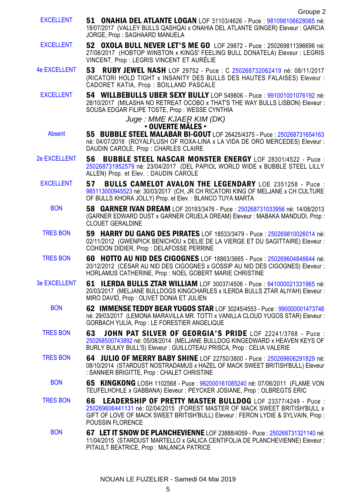EXCELLENT 51 ONAHIA DEL ATLANTE LOGAN LOF 31103/4626 - Puce : [981098106628065](https://www.centrale-canine.fr/lofselect/chien-ws/6935368) né: 18/07/2017 (VALLEY BULLS QASHQAI x ONAHIA DEL ATLANTE GINGER) Eleveur : GARCIA JORGE, Prop : SAGHAARD MANUELA EXCELLENT 52 OXOLA BULL NEVER LET'S ME GO LOF 29872 - Puce : 250269811396696 né: 27/08/2017 (HOBTOP WINSTON x KINGS' FEELING BULL DONATELA) Eleveur : LEGRIS VINCENT, Prop : LEGRIS VINCENT ET AURÉLIE 4e EXCELLENT 53 RUBY JEWEL NASH LOF 29752 - Puce : C [250268732062419](https://www.centrale-canine.fr/lofselect/chien-ws/6923115) né: 08/11/2017 (RICATORI HOLD TIGHT x INSANITY DES BULLS DES HAUTES FALAISES) Eleveur : CADORET KATIA, Prop : BOILLAND PASCALE EXCELLENT 54 WILLBEBULLS UBER SEXY BULLY LOP 549806 - Puce : [991001001076192](https://www.centrale-canine.fr/lofselect/chien-ws/7154739) né: 28/10/2017 (MILASHA NO RETREAT OCOBO x THAT'S THE WAY BULLS LISBON) Eleveur : SOUSA EDGAR FILIPE TOSTE, Prop : WESSE CYNTHIA Juge : MME KJAER KIM (DK) • OUVERTE MÂLES • Absent 55 BUBBLE STEEL MALABAR BI-GOUT LOF 26425/4375 - Puce : [250268731654163](https://www.centrale-canine.fr/lofselect/chien-ws/6508857) né: 04/07/2016 (ROYALFLUSH OF ROXA-LINA x LA VIDA DE ORO MERCEDES) Eleveur : DAUDIN CAROLE, Prop : CHARLES CLAIRE 2e EXCELLENT 56 BUBBLE STEEL NASCAR MONSTER ENERGY LOF 28301/4522 - Puce : [250268731952579](https://www.centrale-canine.fr/lofselect/chien-ws/6753474) né: 23/04/2017 (DEL PAPIOL WORLD WIDE x BUBBLE STEEL LILLY ALLEN) Prop. et Elev. : DAUDIN CAROLE EXCELLENT 57 BULLS CAMELOT AVALON THE LEGENDARY LOE 2351258 - Puce : [985113000945523](https://www.centrale-canine.fr/lofselect/chien-ws/6921304) né: 30/03/2017 (CH, JR CH RICATORI KING OF MELJANE x CH CULTURE OF BULLS KHORA JOLLY) Prop. et Elev. : BLANCO TUYA MARTA BON 58 GARNER IVAN DREAM LOF 20193/3476 - Puce : [250268731033956](https://www.centrale-canine.fr/lofselect/chien-ws/5788711) né: 14/08/2013 (GARNER EDWARD DUST x GARNER CRUELA DREAM) Eleveur : MABAKA MANDUDI, Prop : CLOUET GERALDINE TRES BON 59 HARRY DU GANG DES PIRATES LOF 18533/3479 - Puce : [250269810026014](https://www.centrale-canine.fr/lofselect/chien-ws/5613026) né: 02/11/2012 (GWENPICK BENICHOU x DELIE DE LA VIERGE ET DU SAGITTAIRE) Eleveur : COHIDON DIDIER, Prop : DELAFOSSE PERRINE TRES BON 60 HOTTO AU NID DES CIGOGNES LOF 18863/3665 - Puce : [250269604846644](https://www.centrale-canine.fr/lofselect/chien-ws/5641081) né: 20/12/2012 (CESAR AU NID DES CIGOGNES x GOSSIP AU NID DES CIGOGNES) Eleveur : HORLAMUS CATHERINE, Prop : NOEL GOBERT MARIE CHRISTINE 3e EXCELLENT 61 ILERDA BULLS ZTAR WILLIAM LOF 30037/4506 - Puce : [941000021331965](https://www.centrale-canine.fr/lofselect/chien-ws/6877152) né: 20/03/2017 (MELJANE BULLDOGS KINGCHARLES x ILERDA BULLS ZTAR ALIYAH) Eleveur : MIRO DAVID, Prop : OLIVET DONIA ET JULIEN BON 62 IMMENSE TEDDY BEAR YUGOS STAR LOF 30245/4553 - Puce : [990000001473748](https://www.centrale-canine.fr/lofselect/chien-ws/6924013) né: 29/03/2017 (LEMONA MARAVILLA MR. TOTTI x VANILLA CLOUD YUGOS STAR) Eleveur : GORBACH YULIA, Prop : LE FORESTIER ANGELIQUE TRES BON 63 JOHN PAT SILVER OF GEORGIA'S PRIDE LOF 22241/3768 - Puce : [250268500743892](https://www.centrale-canine.fr/lofselect/chien-ws/6026922) né: 05/08/2014 (MELJANE BULLDOG KINGEDWARD x HEAVEN KEYS OF BURLY BULKY BULL'S) Eleveur : GUILLOTEAU PRISCA, Prop : CELIA VALERIE TRES BON 64 JULIO OF MERRY BABY SHINE LOF 22750/3800 - Puce : [250269606291829](https://www.centrale-canine.fr/lofselect/chien-ws/6097206) né: 08/10/2014 (STARDUST NOSTRADAMUS x HAZEL OF MACK SWEET BRITISH'BULL) Eleveur : SANNIER BRIGITTE, Prop : CHALET CHRISTINE BON 65 KINGKONG LOSH 1102568 - Puce : [982000161085240](https://www.centrale-canine.fr/lofselect/chien-ws/5679718) né: 07/06/2011 (FLAME VON TEUFELHOHLE x GABBANA) Eleveur : PEYCKER JOSIANE, Prop : OLBREGTS ERIC TRES BON 66 LEADERSHIP OF PRETTY MASTER BULLDOG LOF 23377/4249 - Puce : [250269606441131](https://www.centrale-canine.fr/lofselect/chien-ws/6168739) né: 02/04/2015 (FOREST MASTER OF MACK SWEET BRITISH'BULL x GIFT OF LOVE OF MACK SWEET BRITISH'BULL) Eleveur : FERON LYDIE & SYLVAIN, Prop : POUSSIN FLORENCE BON 67 LET IT SNOW DE PLANCHEVIENNE LOF 23888/4059 - Puce : [250268731321140](https://www.centrale-canine.fr/lofselect/chien-ws/6218044) né: 11/04/2015 (STARDUST MARTELLO x GALICA CENTIFOLIA DE PLANCHEVIENNE) Eleveur :

PITAULT BEATRICE, Prop : MALANCA PATRICE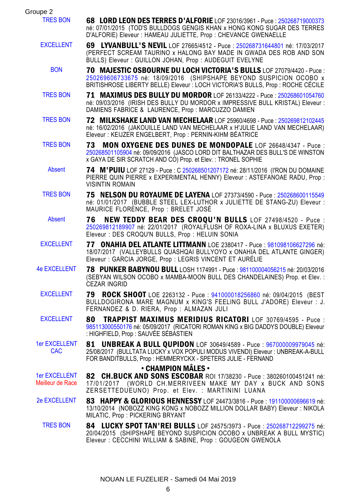| Groupe 2                                 |                                                                                                                                                                                                                                  |
|------------------------------------------|----------------------------------------------------------------------------------------------------------------------------------------------------------------------------------------------------------------------------------|
| <b>TRES BON</b>                          | <b>68 LORD LEON DES TERRES D'ALFORIE</b> LOF 23016/3961 - Puce : 250268719000373<br>né: 07/01/2015 (TOD'S BULLDOGS GENGIS KHAN x HONG KONG SUGAR DES TERRES<br>D'ALFORIE) Eleveur : HAMEAU JULIETTE, Prop : CHEVANCE GWENAELLE   |
| <b>EXCELLENT</b>                         | 69 LYVANBULL'S NEVIL LOF 27665/4512 - Puce: 250268731644801 né: 17/03/2017<br>(PERFECT SCREAM TAURINO x HALONG BAY MADE IN GWADA DES ROB AND SON<br>BULLS) Eleveur: GUILLON JOHAN, Prop: AUDEGUIT EVELYNE                        |
| <b>BON</b>                               | 70 MAJESTIC OSBOURNE DU LOCH VICTORIA'S BULLS LOF 27079/4420 - Puce :<br>250269606733675 né: 18/09/2016 (SHIPSHAPE BEYOND SUSPICION OCOBO x<br>BRITISHROSE LIBERTY BELLE) Eleveur : LOCH VICTORIA'S BULLS, Prop : ROCHE CÉCILE   |
| <b>TRES BON</b>                          | 71 MAXIMUS DES BULLY DU MORDOR LOF 26133/4222 - Puce: 250268601054760<br>né: 09/03/2016 (IRISH DES BULLY DU MORDOR x IMPRESSIVE BULL KRISTAL) Eleveur :<br>DAMIENS FABRICE & LAURENCE, Prop: MARCUZZO DAMIEN                     |
| <b>TRES BON</b>                          | 72 MILKSHAKE LAND VAN MECHELAAR LOF 25960/4698 - Puce: 250269812102445<br>né: 16/02/2016 (JAKOUILLE LAND VAN MECHELAAR x H'JULIE LAND VAN MECHELAAR)<br>Eleveur: KEIJZER ENGELBERT, Prop: PERNIN-KIHM BÉATRICE                   |
| <b>TRES BON</b>                          | MON OXYGENE DES DUNES DE MONDOPALE LOF 26648/4347 - Puce :<br>73<br>250268501105904 né: 09/09/2016 (JASCO LORD DIT BALTHAZAR DES BULL'S DE WINSTON<br>x GAYA DE SIR SCRATCH AND CO) Prop. et Elev.: TRONEL SOPHIE                |
| Absent                                   | <b>74 M'PUIU</b> LOF 27129 - Puce : C 250268501207172 né: 28/11/2016 (I'RON DU DOMAINE<br>PIERRE QUIN PIERRE x EXPERIMENTAL HENNY) Eleveur : ASTEFANOAE RADU, Prop :<br><b>VISINTIN ROMAIN</b>                                   |
| <b>TRES BON</b>                          | 75 NELSON DU ROYAUME DE LAYENA LOF 27373/4590 - Puce : 250268600115549<br>né: 01/01/2017 (BUBBLE STEEL LEX-LUTHOR x JULIETTE DE STANG-ZU) Eleveur :<br>MAURICE FLORÈNCE, Prop : BRELET JOSÉ                                      |
| Absent                                   | NEW TEDDY BEAR DES CROQU'N BULLS LOF 27498/4520 - Puce :<br>76<br>250269812189907 né: 22/01/2017 (ROYALFLUSH OF ROXA-LINA x BLUXUS EXETER)<br>Eleveur: DES CROQU'N BULLS, Prop: HELUIN SONIA                                     |
| <b>EXCELLENT</b>                         | 77 ONAHIA DEL ATLANTE LITTMANN LOE 2380417 - Puce : 981098106627296 né:<br>18/07/2017 (VALLEYBULLS QUASHQAI BULLYOYO x ONAHIA DEL ATLANTE GINGER)<br>Eleveur : GARCIA JORGE, Prop : LEGRIS VINCENT ET AURÉLIE                    |
| <b>4e EXCELLENT</b>                      | 78 PUNKER BABYNOU BULL LOSH 1174991 - Puce: 981100004056215 né: 20/03/2016<br>(SEBYAN WILSON OCOBO x MAMBA-MOON BULL DES CHANDELAINES) Prop. et Elev. :<br><b>CEZAR INGRID</b>                                                   |
| <b>EXCELLENT</b>                         | 79<br><b>ROCK SHOOT</b> LOE 2263132 - Puce: 941000018256860 né: 09/04/2015 (BEST<br>BULLDOGIRONA MARE MAGNUM x KING'S FEELING BULL J'ADORE) Eleveur : J.<br>FERNANDEZ & D. RIERA, Prop : ALMAZAN JULI                            |
| <b>EXCELLENT</b>                         | TRAPPIST MAXIMUS MERIDIUS RICATORI LOF 30769/4595 - Puce :<br>80<br>985113000550176 né: 05/09/2017 (RICATORI ROMAN KING x BIG DADDYS DOUBLE) Eleveur<br>: HIGHFIELD, Prop : SAUVEE SEBASTIEN                                     |
| <b>1er EXCELLENT</b><br><b>CAC</b>       | <b>UNBREAK A BULL QUPIDON</b> LOF 30649/4589 - Puce: 967000009979045 né:<br>81<br>25/08/2017 (BULLTATA LUCKY x VOX POPULI MODUS VIVENDI) Eleveur : UNBREAK-A-BULL<br>FOR BANDITBULLS, Prop: HEMMERYCKX - SPETERS JULIE - FERNAND |
| <b>1er EXCELLENT</b><br>Meilleur de Race | • CHAMPION MÂLES •<br>82 CH.BUCK AND SONS ESCOBAR ROI 17/38230 - Puce : 380260100451241 né:<br>17/01/2017 (WORLD CH.MERRIVEEN MAKE MY DAY x BUCK AND SONS<br>ZERSETTEDUEUNO) Prop. et Elev. : MARTININI LUANA                    |
| <b>2e EXCELLENT</b>                      | 83 HAPPY & GLORIOUS HENNESSY LOF 24473/3816 - Puce: 191100000696619 né:<br>13/10/2014 (NOBOZZ KING KONG x NOBOZZ MILLION DOLLAR BABY) Eleveur : NIKOLA<br>MILATIC, Prop: PICKERING BRYANT                                        |
| <b>TRES BON</b>                          | 84 LUCKY SPOT TAN'REI BULLS LOF 24575/3973 - Puce: 250268712299275 né:<br>20/04/2015 (SHIPSHAPE BEYOND SUSPICION OCOBO x UNBREAK A BULL MYSTIC)<br>Eleveur : CECCHINI WILLIAM & SABINE, Prop : GOUGEON GWENOLA                   |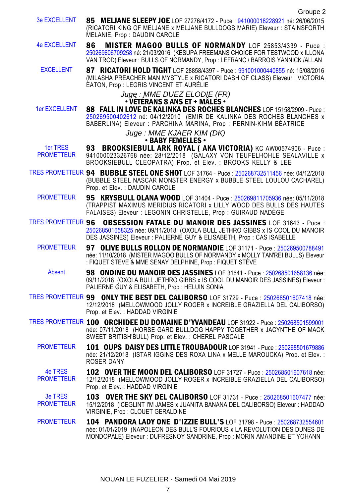- 3e EXCELLENT 85 MELJANE SLEEPY JOE LOF 27276/4172 Puce : [941000018228921](https://www.centrale-canine.fr/lofselect/chien-ws/6411256) né: 26/06/2015 (RICATORI KING OF MELJANE x MELJANE BULLDOGS MARIE) Eleveur : STAINSFORTH MELANIE, Prop : DAUDIN CAROLE
- 4e EXCELLENT 86 MISTER MAGOO BULLS OF NORMANDY LOF 25853/4339 Puce : [250269606709258](https://www.centrale-canine.fr/lofselect/chien-ws/6445819) né: 21/03/2016 (KESUPA FREEMANS CHOICE FOR TESTWOOD x ILLONA VAN TROD) Eleveur : BULLS OF NORMANDY, Prop : LEFRANC / BARROIS YANNICK /ALLAN
- EXCELLENT 87 RICATORI HOLD TIGHT LOF 28858/4397 Puce : [991001000440855](https://www.centrale-canine.fr/lofselect/chien-ws/6778564) né: 15/08/2016 (MILASHA PREACHER MAN MYSTYLE x RICATORI DASH OF CLASS) Eleveur : VICTORIA EATON, Prop : LEGRIS VINCENT ET AURÉLIE

#### Juge : MME DUEZ ELODIE (FR)  $\cdot$  VÉTÉRANS 8 ANS ET + MÂLES  $\cdot$

1er EXCELLENT 88 FALL IN LOVE DE KALINKA DES ROCHES BLANCHES LOF 15158/2909 - Puce : [250269500402612](https://www.centrale-canine.fr/lofselect/chien-ws/5178526) né: 04/12/2010 (EMIR DE KALINKA DES ROCHES BLANCHES x BABERLINA) Eleveur : PARCHINA MARINA, Prop : PERNIN-KIHM BÉATRICE

## Juge : MME KJAER KIM (DK)

- BABY FEMELLES •
- 1er TRES **PROMETTEUR** 93 BROOKSIEBULL ARK ROYAL ( AKA VICTORIA) KC AW00574906 - Puce : 941000023326768 née: 28/12/2018 (GALAXY VON TEUFELHOHLE SEALAVILLE x BROOKSIEBULL CLEOPATRA) Prop. et Elev. : BROOKS KELLY & LEE
- TRES PROMETTEUR 94 BUBBLE STEEL ONE SHOT LOF 31764 Puce : [250268732511456](https://www.centrale-canine.fr/lofselect/chien-ws/7183783) née: 04/12/2018 (BUBBLE STEEL NASCAR MONSTER ENERGY x BUBBLE STEEL LOULOU CACHAREL) Prop. et Elev. : DAUDIN CAROLE
	- PROMETTEUR 95 KRYSBULL OLANA WOOD LOF 31404 Puce : [250269811705936](https://www.centrale-canine.fr/lofselect/chien-ws/7140392) née: 05/11/2018 (TRAPPIST MAXIMUS MERIDIUS RICATORI x LILLY WOOD DES BULLS DES HAUTES FALAISES) Eleveur : LEGONIN CHRISTELLE, Prop : GUIRAUD NADÈGE
- TRES PROMETTEUR 96 OBSESSION FATALE DU MANOIR DES JASSINES LOF 31643 Puce : [250268501658325](https://www.centrale-canine.fr/lofselect/chien-ws/7164767) née: 09/11/2018 (OXOLA BULL JETHRO GIBBS x IS COOL DU MANOIR DES JASSINES) Eleveur : PALIERNE GUY & ELISABETH, Prop : CAS ISABELLE
	- PROMETTEUR 97 OLIVE BULLS ROLLON DE NORMANDIE LOF 31171 Puce : [250269500788491](https://www.centrale-canine.fr/lofselect/chien-ws/7115171) née: 11/10/2018 (MISTER MAGOO BULLS OF NORMANDY x MOLLY TAN'REI BULLS) Eleveur : FIQUET STEVE & MME SENAY DELPHINE, Prop : FIQUET STÈVE
		- Absent **98 ONDINE DU MANOIR DES JASSINES** LOF 31641 Puce : [250268501658136](https://www.centrale-canine.fr/lofselect/chien-ws/7164765) née: 09/11/2018 (OXOLA BULL JETHRO GIBBS x IS COOL DU MANOIR DES JASSINES) Eleveur : PALIERNE GUY & ELISABETH, Prop : HELUIN SONIA
- TRES PROMETTEUR 99 ONLY THE BEST DEL CALIBORSO LOF 31729 Puce : [250268501607418](https://www.centrale-canine.fr/lofselect/chien-ws/7178341) née: 12/12/2018 (MELLOWMOOD JOLLY ROGER x INCREIBLE GRAZIELLA DEL CALIBORSO) Prop. et Elev. : HADDAD VIRGINIE
- TRES PROMETTEUR 100 ORCHIDEE DU DOMAINE D'YVANDEAU LOF 31922 Puce : [250268501599001](https://www.centrale-canine.fr/lofselect/chien-ws/7206267) née: 07/11/2018 (HORSE GARD BULLDOG HAPPY TOGETHER x JACYNTHE OF MACK SWEET BRITISH'BULL) Prop. et Elev. : CHEREL PASCALE
	- PROMETTEUR 101 OUPS DAISY DES LITTLE TROUBADOUR LOF 31941 Puce : [250268501679886](https://www.centrale-canine.fr/lofselect/chien-ws/7208951) née: 21/12/2018 (ISTAR IGGINS DES ROXA LINA x MELLE MAROUCKA) Prop. et Elev. : ROSER DANY
	- 4e TRES PROMETTEUR 102 OVER THE MOON DEL CALIBORSO LOF 31727 - Puce : [250268501607618](https://www.centrale-canine.fr/lofselect/chien-ws/7178339) née: 12/12/2018 (MELLOWMOOD JOLLY ROGER x INCREIBLE GRAZIELLA DEL CALIBORSO) Prop. et Elev. : HADDAD VIRGINIE
	- 3e TRES PROMETTEUR 103 OVER THE SKY DEL CALIBORSO LOF 31731 - Puce : [250268501607477](https://www.centrale-canine.fr/lofselect/chien-ws/7178343) née: 15/12/2018 (ICEGLINT I'M JAMES x JUANITA BANANA DEL CALIBORSO) Eleveur : HADDAD VIRGINIE, Prop : CLOUET GERALDINE
	- PROMETTEUR 104 PANDORA LADY ONE D'IZZIE BULL'S LOF 31798 Puce : [250268732554601](https://www.centrale-canine.fr/lofselect/chien-ws/7187158) née: 01/01/2019 (NAPOLEON DES BULL'S FOURIOUS x LA REVOLUTION DES DUNES DE MONDOPALE) Eleveur : DUFRESNOY SANDRINE, Prop : MORIN AMANDINE ET YOHANN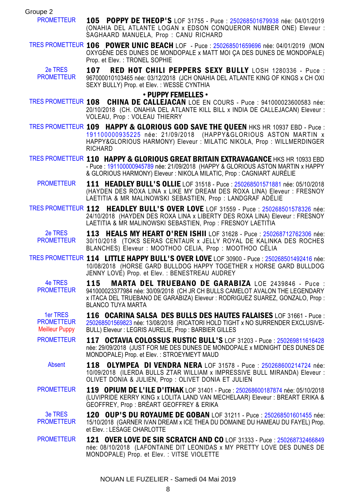Groupe 2

- PROMETTEUR 105 POPPY DE THEOP'S LOF 31755 Puce [250268501679938](https://www.centrale-canine.fr/lofselect/chien-ws/7182939) née: 04/01/2019 (ONAHIA DEL ATLANTE LOGAN x EDSON CONQUEROR NUMBER ONE) Eleveur : SAGHAARD MANUELA, Prop : CANU RICHARD
- TRES PROMETTEUR 106 POWER UNIC BEACH LOF Puce : [250268501659696](https://www.centrale-canine.fr/lofselect/chien-ws/7190850) née: 04/01/2019 (MON OXYGÉNE DES DUNES DE MONDOPALE x MATT MOI ÇA DES DUNES DE MONDOPALE) Prop. et Elev. : TRONEL SOPHIE
	- 2e TRES **PROMETTEUR** 107 RED HOT CHILI PEPPERS SEXY BULLY LOSH 1280336 - Puce : 967000010103465 née: 03/12/2018 (JCH ONAHIA DEL ATLANTE KING OF KINGS x CH OXI SEXY BULLY) Prop. et Elev. : WESSE CYNTHIA

#### • PUPPY FEMELLES •

- TRES PROMETTEUR 108 CHINA DE CALLEJACAN LOE EN COURS Puce : 941000023600583 née: 20/10/2018 (CH. ONAHIA DEL ATLANTE KILL BILL x INDIA DE CALLEJACAN) Eleveur : VOLEAU, Prop : VOLEAU THIERRY
- TRES PROMETTEUR 109 HAPPY & GLORIOUS GOD SAVE THE QUEEN HKS HR 10937 EBD Puce : [191100000935225](https://www.centrale-canine.fr/lofselect/chien-ws/7205851) née: 21/09/2018 (HAPPY&GLORIOUS ASTON MARTIN x HAPPY&GLORIOUS HARMONY) Eleveur : MILATIC NIKOLA, Prop : WILLMERDINGER **RICHARD**
- TRES PROMETTEUR 110 HAPPY & GLORIOUS GREAT BRITAIN EXTRAVAGANCE HKS HR 10933 EBD - Puce : [191100000945789](https://www.centrale-canine.fr/lofselect/chien-ws/7182619) née: 21/09/2018 (HAPPY & GLORIOUS ASTON MARTIN x HAPPY & GLORIOUS HARMONY) Eleveur : NIKOLA MILATIC, Prop : CAGNIART AURÉLIE
	- PROMETTEUR 111 HEADLEY BULL'S OLLIE LOF 31518 Puce : [250268501571881](https://www.centrale-canine.fr/lofselect/chien-ws/7155324) née: 05/10/2018 (HAYDEN DES ROXA LINA x LIKE MY DREAM DES ROXA LINA) Eleveur : FRESNOY LAETITIA & MR MALINOWSKI SEBASTIEN, Prop : LANDGRAF ADÉLIE
- TRES PROMETTEUR 112 HEADLEY BULL'S OVER LOVE LOF 31559 Puce : [250268501578326](https://www.centrale-canine.fr/lofselect/chien-ws/7159228) née: 24/10/2018 (HAYDEN DES ROXA LINA x LIBERTY DES ROXA LINA) Eleveur : FRESNOY LAETITIA & MR MALINOWSKI SEBASTIEN, Prop : FRESNOY LAETITIA
	- 2e TRES **PROMETTEUR** 113 HEALS MY HEART O'REN ISHII LOF 31628 - Puce : [250268712762306](https://www.centrale-canine.fr/lofselect/chien-ws/7164169) née: 30/10/2018 (TOKS SERAS CENTAUR x JELLY ROYAL DE KALINKA DES ROCHES BLANCHES) Eleveur : MOOTHOO CELIA, Prop : MOOTHOO CÉLIA
- TRES PROMETTEUR 114 LITTLE HAPPY BULL'S OVER LOVE LOF 30900 Puce : [250268501492416](https://www.centrale-canine.fr/lofselect/chien-ws/7070472) née: 10/08/2018 (HORSE GARD BULLDOG HAPPY TOGETHER x HORSE GARD BULLDOG JENNY LOVE) Prop. et Elev. : BENESTREAU AUDREY
	- 4e TRES PROMETTEUR 115 MARTA DEL TRUEBANO DE GARABIZA LOE 2439846 - Puce : 941000023377984 née: 30/09/2018 (CH JR CH BULLS CAMELOT AVALON THE LEGENDARY x ITACA DEL TRUEBANO DE GARABIZA) Eleveur : RODRIGUEZ SUAREZ, GONZALO, Prop : BLANCO TUYA MARTA
	- 1er TRES PROMETTEUR Meilleur Puppy 116 OCARINA SALSA DES BULLS DES HAUTES FALAISES LOF 31661 - Puce : [250268501569823](https://www.centrale-canine.fr/lofselect/chien-ws/7166818) née: 13/08/2018 (RICATORI HOLD TIGHT x NO SURRENDER EXCLUSIVE-BULL) Eleveur : LEGRIS AURELIE, Prop : BARBIER GILLES
	- PROMETTEUR 117 OCTAVIA COLOSSUS RUSTIC BULL'S LOF 31203 Puce : [250269811616428](https://www.centrale-canine.fr/lofselect/chien-ws/7117180) née: 29/09/2018 (JUST FOR ME DES DUNES DE MONDOPALE x MIDNIGHT DES DUNES DE MONDOPALE) Prop. et Elev. : STROEYMEYT MAUD
		- Absent **118 OLYMPEA DI VENDRA NERA** LOF 31578 Puce : [250268600214724](https://www.centrale-canine.fr/lofselect/chien-ws/7161294) née: 10/09/2018 (ILERDA BULLS ZTAR WILLIAM x IMPRESSIVE BULL MIRANDA) Eleveur : OLIVET DONIA & JULIEN, Prop : OLIVET DONIA ET JULIEN
	- PROMETTEUR 119 OPIUM DE L'ILE D'ITHAK LOF 31401 Puce : [250268600187874](https://www.centrale-canine.fr/lofselect/chien-ws/7140365) née: 05/10/2018 (LUVIPRIDE KERRY KING x LOLITA LAND VAN MECHELAAR) Eleveur : BREART ERIKA & GEOFFREY, Prop : BRÉART GEOFFREY & ERIKA
	- 3e TRES PROMETTEUR 120 OUP'S DU ROYAUME DE GOBAN LOF 31211 - Puce : [250268501601455](https://www.centrale-canine.fr/lofselect/chien-ws/7121812) née: 15/10/2018 (GARNER IVAN DREAM x ICE THEA DU DOMAINE DU HAMEAU DU FAYEL) Prop. et Elev. : LESAGE CHARLOTTE
	- **PROMETTEUR 121 OVER LOVE DE SIR SCRATCH AND CO** LOF 31333 Puce : [250268732466849](https://www.centrale-canine.fr/lofselect/chien-ws/7132899) née: 08/10/2018 (LAFONTAINE DIT LEONIDAS x MY PRETTY LOVE DES DUNES DE MONDOPALE) Prop. et Elev. : VITSE VIOLETTE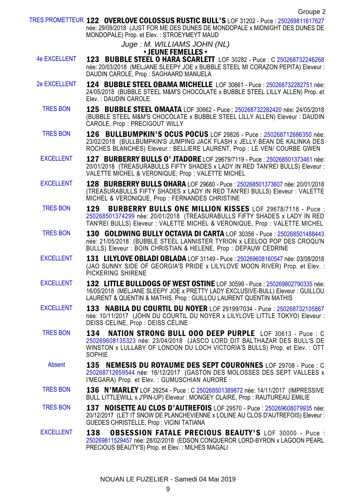TRES PROMETTEUR 122 OVERLOVE COLOSSUS RUSTIC BULL'S LOF 31202 - Puce : [250269811617627](https://www.centrale-canine.fr/lofselect/chien-ws/7117179) née: 29/09/2018 (JUST FOR ME DES DUNES DE MONDOPALE x MIDNIGHT DES DUNES DE MONDOPALE) Prop. et Elev. : STROEYMEYT MAUD

Juge : M. WILLIAMS JOHN (NL)

### • JEUNE FEMELLES •

- 4e EXCELLENT 123 BUBBLE STEEL O HARA SCARLETT LOF 30282 Puce : C [250268732246268](https://www.centrale-canine.fr/lofselect/chien-ws/6991933) née: 20/03/2018 (MELJANE SLEEPY JOE x BUBBLE STEEL MI CORAZON PEPITA) Eleveur : DAUDIN CAROLE, Prop : SAGHAARD MANUELA
- 2e EXCELLENT 124 BUBBLE STEEL OBAMA MICHELLE LOF 30661 Puce : [250268732282751](https://www.centrale-canine.fr/lofselect/chien-ws/7037983) née: 24/05/2018 (BUBBLE STEEL M&M'S CHOCOLATE x BUBBLE STEEL LILLY ALLEN) Prop. et Elev. : DAUDIN CAROLE
	- TRES BON 125 BUBBLE STEEL OMAATA LOF 30662 Puce : [250268732282420](https://www.centrale-canine.fr/lofselect/chien-ws/7037984) née: 24/05/2018 (BUBBLE STEEL M&M'S CHOCOLATE x BUBBLE STEEL LILLY ALLEN) Eleveur : DAUDIN CAROLE, Prop : PRECIGOUT WILLY
	- TRES BON 126 BULLBUMPKIN'S OCUS POCUS LOF 29826 Puce : [250268712686350](https://www.centrale-canine.fr/lofselect/chien-ws/6932230) née: 23/02/2018 (BULLBUMPKIN'S JUMPING JACK FLASH x JELLY BEAN DE KALINKA DES ROCHES BLANCHES) Eleveur : BELLIERE LAURENT, Prop : LE VEN/ COURBE GWEN
	- EXCELLENT 127 BURBERRY BULLS O' JTADORE LOF 29679/7119 Puce : [250268501373461](https://www.centrale-canine.fr/lofselect/chien-ws/6916643) née: 20/01/2018 (TREASURABULLS FIFTY SHADES x LADY IN RED TAN'REI BULLS) Eleveur : VALETTE MICHEL & VERONIQUE, Prop : VALETTE MICHEL
	- EXCELLENT 128 BURBERRY BULLS OHARA LOF 29680 Puce : [250268501373607](https://www.centrale-canine.fr/lofselect/chien-ws/6916644) née: 20/01/2018 (TREASURABULLS FIFTY SHADES x LADY IN RED TAN'REI BULLS) Eleveur : VALETTE MICHEL & VERONIQUE, Prop : FERNANDES CHRISTINE
	- TRES BON 129 BURBERRY BULLS ONE MILLION KISSES LOF 29678/7118 Puce : [250268501374299](https://www.centrale-canine.fr/lofselect/chien-ws/6916642) née: 20/01/2018 (TREASURABULLS FIFTY SHADES x LADY IN RED TAN'REI BULLS) Eleveur : VALETTE MICHEL & VERONIQUE, Prop : VALETTE MICHEL
	- TRES BON 130 GOLDWING BULLY OCTAVIA DI CARTA LOF 30356 Puce : [250268501488443](https://www.centrale-canine.fr/lofselect/chien-ws/6998539) née: 21/05/2018 (BUBBLE STEEL LANNISTER TYRION x LEELOO POP DES CROQU'N BULLS) Eleveur : BOIN CHRISTIAN & HELENE, Prop : DEPAUW CEDRINE
	- EXCELLENT 131 LILYLOVE OBLADI OBLADA LOF 31149 Puce : [250269608160547](https://www.centrale-canine.fr/lofselect/chien-ws/7110389) née: 03/08/2018 (JAO SUNNY SIDE OF GEORGIA'S PRIDE x LILYLOVE MOON RIVER) Prop. et Elev. : PICKERING SHIRENE
	- EXCELLENT 132 LITTLE BULLDOGS OF WEST OSTINE LOF 30599 Puce : [250269802790335](https://www.centrale-canine.fr/lofselect/chien-ws/7030479) née: 16/05/2018 (MELJANE SLEEPY JOE x PRETTY LADY EXCLUSIVE-BULL) Eleveur : GUILLOU LAURENT & QUENTIN & MATHIS, Prop : GUILLOU LAURENT QUENTIN MATHIS
	- EXCELLENT 133 NABILA DU COURTIL DU NOYER LOF 29199/7034 Puce : [250268732105867](https://www.centrale-canine.fr/lofselect/chien-ws/6863019) née: 10/11/2017 (JOHN DU COURTIL DU NOYER x LILYLOVE LITTLE TOKYO) Eleveur : DEISS CELINE, Prop : DEISS CÉLINE
	- TRES BON 134 NATION STRONG BULL OOO DEEP PURPLE LOF 30613 Puce : C [250269608135323](https://www.centrale-canine.fr/lofselect/chien-ws/7032227) née: 23/04/2018 (JASCO LORD DIT BALTHAZAR DES BULL'S DE WINSTON x LULLABY OF LONDON DU LOCH VICTORIA'S BULLS) Prop. et Elev. : OTT SOPHIE
		- Absent **135 NEMESIS DU ROYAUME DES SEPT COURONNES** LOF 29708 Puce : C [250268712659544](https://www.centrale-canine.fr/lofselect/chien-ws/6918030) née: 16/12/2017 (GASTON DES MOLOSSES DES SEPT VALLEES x I'MEGARA) Prop. et Elev. : GUMUSCHIAN AURORE
	- TRES BON 136 N'MARLEY LOF 29254 Puce : C [250268501389872](https://www.centrale-canine.fr/lofselect/chien-ws/6873095) née: 14/11/2017 (IMPRESSIVE BULL LITTLEWILL x J'PIN-UP) Eleveur : MONGEY CLAIRE, Prop : RAUTUREAU EMILIE
	- TRES BON 137 NOISETTE AU CLOS D'AUTREFOIS LOF 29570 Puce : [250269608079935](https://www.centrale-canine.fr/lofselect/chien-ws/6905762) née: 20/12/2017 (LET IT SNOW DE PLANCHEVIENNE x LOLINE AU CLOS D'AUTREFOIS) Eleveur : GUEDES CHRISTELLE, Prop : VICINI TATIANA
	- EXCELLENT 138 OBSESSION FATALE PRECIOUS BEAUTY'S LOF 30000 Puce : [250269811529457](https://www.centrale-canine.fr/lofselect/chien-ws/6951945) née: 28/02/2018 (EDSON CONQUEROR LORD-BYRON x LAGOON PEARL PRECIOUS BEAUTY'S) Prop. et Elev. : MILHES MAGALI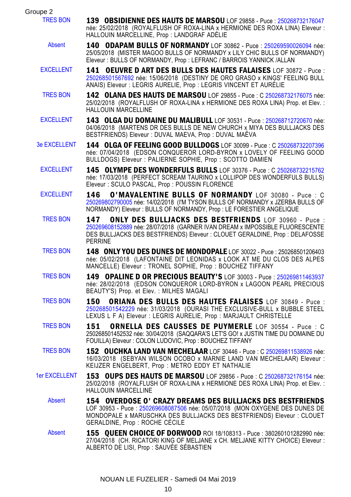| Groupe 2             |                                                                                                                                                                                                                                                      |
|----------------------|------------------------------------------------------------------------------------------------------------------------------------------------------------------------------------------------------------------------------------------------------|
| <b>TRES BON</b>      | <b>139 OBSIDIENNE DES HAUTS DE MARSOU</b> LOF 29858 - Puce : 250268732176047<br>née: 25/02/2018 (ROYALFLUSH OF ROXA-LINA x HERMIONE DES ROXA LINA) Eleveur :<br>HALLOUIN MARCELLINE, Prop: LANDGRAF ADÉLIE                                           |
| Absent               | 140 ODAPAM BULLS OF NORMANDY LOF 30862 - Puce: 250269590026094 née:<br>25/05/2018 (MISTER MAGOO BULLS OF NORMANDY x LILY CHIC BULLS OF NORMANDY)<br>Eleveur: BULLS OF NORMANDY, Prop: LEFRANC / BARROIS YANNICK / ALLAN                              |
| <b>EXCELLENT</b>     | 141 OEUVRE D ART DES BULLS DES HAUTES FALAISES LOF 30872 - Puce :<br>250268501567692 née: 15/06/2018 (DESTINY DE ORO GRASO x KINGS' FEELING BULL<br>ANAIS) Eleveur : LEGRIS AURELIE, Prop : LEGRIS VINCENT ET AURÉLIE                                |
| <b>TRES BON</b>      | 142 OLANA DES HAUTS DE MARSOU LOF 29855 - Puce : C 250268732176075 née:<br>25/02/2018 (ROYALFLUSH OF ROXA-LINA x HERMIONE DES ROXA LINA) Prop. et Elev. :<br>HALLOUIN MARCELLINE                                                                     |
| <b>EXCELLENT</b>     | 143 OLGA DU DOMAINE DU MALIBULL LOF 30531 - Puce : 250268712720670 née:<br>04/06/2018 (MARTENS DR DES BULLS DE NEW CHURCH x MIYA DES BULLJACKS DES<br>BESTFRIENDS) Eleveur : DUVAL MAEVA, Prop : DUVAL MAËVA                                         |
| <b>3e EXCELLENT</b>  | 144 OLGA OF FEELING GOOD BULLDOGS LOF 30099 - Puce : C 250268732207396<br>née: 07/04/2018 (EDSON CONQUEROR LORD-BYRON x LOVELY OF FEELING GOOD<br>BULLDOGS) Eleveur : PALIERNE SOPHIE, Prop : SCOTTO DAMIEN                                          |
| <b>EXCELLENT</b>     | 145 OLYMPE DES WONDERFULS BULLS LOF 30376 - Puce : C 250268732215762<br>née: 17/03/2018 (PERFECT SCREAM TAURINO x LOLLIPOP DES WONDERFULS BULLS)<br>Eleveur: SCULO PASCAL, Prop: POUSSIN FLORENCE                                                    |
| <b>EXCELLENT</b>     | O'MAVALENTINE BULLS OF NORMANDY LOF 30080 - Puce : C<br>146<br>250269802790005 née: 14/02/2018 (I'M TYSON BULLS OF NORMANDY x JZERBA BULLS OF<br>NORMANDY) Eleveur : BULLS OF NORMANDY, Prop : LE FORESTIER ANGELIQUE                                |
| <b>TRES BON</b>      | ONLY DES BULLJACKS DES BESTFRIENDS LOF 30960 - Puce :<br>147<br>250269608152889 née: 28/07/2018 (GARNER IVAN DREAM x IMPOSSIBLE FLUORESCENTE<br>DES BULLJACKS DES BESTFRIENDS) Eleveur : CLOUET GERALDINE, Prop : DELAFOSSE<br><b>PERRINE</b>        |
| <b>TRES BON</b>      | 148 ONLY YOU DES DUNES DE MONDOPALE LOF 30022 - Puce : 250268501206403<br>née: 05/02/2018 (LAFONTAINE DIT LEONIDAS x LOOK AT ME DU CLOS DES ALPES<br>MANCELLE) Eleveur : TRONEL SOPHIE, Prop : BOUCHEZ TIFFANY                                       |
| <b>TRES BON</b>      | 149 OPALINE D OR PRECIOUS BEAUTY'S LOF 30003 - Puce: 250269811463937<br>née: 28/02/2018 (EDSON CONQUEROR LORD-BYRON x LAGOON PEARL PRECIOUS<br>BEAUTY'S) Prop. et Elev. : MILHES MAGALI                                                              |
| <b>TRES BON</b>      | ORIANA DES BULLS DES HAUTES FALAISES LOF 30849 - Puce :<br>150<br>250268501542229 née: 31/03/2018 (OURASI THE EXCLUSIVE-BULL x BUBBLE STEEL<br>LEXUS L F A) Eleveur : LEGRIS AURELIE, Prop : MARJAULT CHRISTELLE                                     |
| <b>TRES BON</b>      | ORNELLA DES CAUSSES DE PUYMERLE LOF 30554 - Puce : C<br>151<br>250268501452532 née: 30/04/2018 (SAQQARA'S LET'S GO! x JUSTIN TIME DU DOMAINE DU<br>FOUILLA) Eleveur : COLON LUDOVIC, Prop : BOUCHEZ TIFFANY                                          |
| <b>TRES BON</b>      | 152 OUCHKA LAND VAN MECHELAAR LOF 30446 - Puce : C 250269811538926 née:<br>16/03/2018 (SEBYAN WILSON OCOBO x MARNIE LAND VAN MECHELAAR) Eleveur :<br>KEIJZER ENGELBERT, Prop: METRO EDDY ET NATHALIE                                                 |
| <b>1er EXCELLENT</b> | 153 OUPS DES HAUTS DE MARSOU LOF 29856 - Puce : C 250268732176154 née:<br>25/02/2018 (ROYALFLUSH OF ROXA-LINA x HERMIONE DES ROXA LINA) Prop. et Elev. :<br>HALLOUIN MARCELLINE                                                                      |
| Absent               | 154 OVERDOSE O' CRAZY DREAMS DES BULLJACKS DES BESTFRIENDS<br>LOF 30953 - Puce: 250269608087506 née: 05/07/2018 (MON OXYGENE DES DUNES DE<br>MONDOPALE x MARUSCHKA DES BULLJACKS DES BESTFRIENDS) Eleveur : CLOUET<br>GERALDINE, Prop : ROCHE CÉCILE |
| Absent               | 155 QUEEN CHOICE OF DORWOOD ROI 18/108313 - Puce: 380260101282990 née:<br>27/04/2018 (CH. RICATORI KING OF MELJANE x CH. MELJANE KITTY CHOICE) Eleveur :<br>ALBERTO DE LISI, Prop : SAUVÉE SÉBASTIEN                                                 |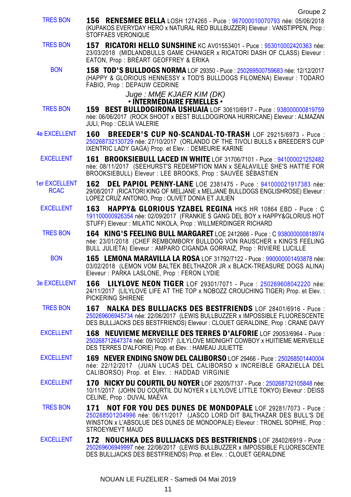- Groupe 2 TRES BON 156 RENESMEE BELLA LOSH 1274265 - Puce : [967000010070793](https://www.centrale-canine.fr/lofselect/chien-ws/7153145) née: 05/06/2018 (KUPAKOS EVERYDAY HERO x NATURAL RED BULLBUZZER) Eleveur : VANSTIPPEN, Prop : STOFFAES VERONIQUE TRES BON 157 RICATORI HELLO SUNSHINE KC AV01553401 - Puce : [953010002420363](https://www.centrale-canine.fr/lofselect/chien-ws/7021187) née: 23/03/2018 (MIDLANDBULLS GAME CHANGER x RICATORI DASH OF CLASS) Eleveur : EATON, Prop : BRÉART GEOFFREY & ERIKA BON 158 TOD'S BULLDOGS NORMA LOF 29350 - Puce : [250269500759683](https://www.centrale-canine.fr/lofselect/chien-ws/6883053) née: 12/12/2017 (HAPPY & GLORIOUS HENNESSY x TOD'S BULLDOGS FILOMENA) Eleveur : TODARO FABIO, Prop : DEPAUW CEDRINE Juge : MME KJAER KIM (DK) • INTERMÉDIAIRE FEMELLES • TRES BON 159 BEST BULLDOGIRONA USHUAIA LOF 30610/6917 - Puce : [938000000819759](https://www.centrale-canine.fr/lofselect/chien-ws/6917290) née: 06/06/2017 (ROCK SHOOT x BEST BULLDOGIRONA HURRICANE) Eleveur : ALMAZAN JULI, Prop : CELIA VALERIE 4e EXCELLENT 160 BREEDER'S CUP NO-SCANDAL-TO-TRASH LOF 29215/6973 - Puce : [250268732130729](https://www.centrale-canine.fr/lofselect/chien-ws/6863877) née: 27/10/2017 (ORLANDO OF THE TIVOLI BULLS x BREEDER'S CUP IXENTRIC LADY GAGA) Prop. et Elev. : DEMEURIE KARINE EXCELLENT 161 BROOKSIEBULL LACED IN WHITE LOF 31706/7101 - Puce : [941000021252482](https://www.centrale-canine.fr/lofselect/chien-ws/6935365) née: 08/11/2017 (SEEHURST'S REDEMPTION MAN x SEALAVILLE SHE'S HATTIE FOR BROOKSIEBULL) Eleveur : LEE BROOKS, Prop : SAUVÉE SÉBASTIEN 1er EXCELLENT RCAC 162 DEL PAPIOL PENNY-LANE LOE 2381475 - Puce : [941000021917383](https://www.centrale-canine.fr/lofselect/chien-ws/7044482) née: 29/08/2017 (RICATORI KING OF MELJANE x MELJANE BULLDOGS ENGLISHROSE) Eleveur : LOPEZ CRUZ ANTONIO, Prop : OLIVET DONIA ET JULIEN EXCELLENT 163 HAPPY& GLORIOUS YZABEL REGINA HKS HR 10864 EBD - Puce : C [191100000926354](https://www.centrale-canine.fr/lofselect/chien-ws/7205856) née: 02/09/2017 (FRANKIE S GANG DEL BOY x HAPPY&GLORIUS HOT STUFF) Eleveur : MILATIC NIKOLA, Prop : WILLMERDINGER RICHARD TRES BON 164 KING'S FEELING BULL MARGARET LOE 2412666 - Puce : C [938000000818974](https://www.centrale-canine.fr/lofselect/chien-ws/7117645) née: 23/01/2018 (CHEF REMBOMBORY BULLDOG VON RAUSCHER x KING'S FEELING BULL JULIETA) Eleveur : AMPARO CIGANDA GORRAIZ, Prop : RIVIERE LUCILLE BON **165 LEMONA MARAVILLA LA ROSA** LOF 31792/7122 - Puce : [990000001493878](https://www.centrale-canine.fr/lofselect/chien-ws/7154763) née: 03/02/2018 (LEMON VOM BALTEK BELTHAZOR JR x BLACK-TREASURE DOGS ALINA) Eleveur : PARKA LASLONE, Prop : FERON LYDIE 3e EXCELLENT 166 LILYLOVE NEON TIGER LOF 29301/7071 - Puce : [250269608042220](https://www.centrale-canine.fr/lofselect/chien-ws/6876742) née: 24/11/2017 (LILYLOVE LIFE AT THE TOP x NOBOZZ CROUCHING TIGER) Prop. et Elev. : PICKERING SHIRENE TRES BON 167 NALKA DES BULLJACKS DES BESTFRIENDS LOF 28401/6916 - Puce : [250269606945734](https://www.centrale-canine.fr/lofselect/chien-ws/6768973) née: 22/06/2017 (LEWIS BULLBUZZER x IMPOSSIBLE FLUORESCENTE DES BULLJACKS DES BESTFRIENDS) Eleveur : CLOUET GERALDINE, Prop : CRANE DAVY EXCELLENT 168 NEUVIEME MERVEILLE DES TERRES D'ALFORIE LOF 29053/6964 - Puce : [250268712647374](https://www.centrale-canine.fr/lofselect/chien-ws/6845741) née: 09/10/2017 (LILYLOVE MIDNIGHT COWBOY x HUITIEME MERVEILLE DES TERRES D'ALFORIE) Prop. et Elev. : HAMEAU JULIETTE EXCELLENT 169 NEVER ENDING SNOW DEL CALIBORSO LOF 29466 - Puce : [250268501440004](https://www.centrale-canine.fr/lofselect/chien-ws/6896052) née: 22/12/2017 (JUAN LUCAS DEL CALIBORSO x INCREIBLE GRAZIELLA DEL CALIBORSO) Prop. et Elev. : HADDAD VIRGINIE
	- EXCELLENT 170 NICKY DU COURTIL DU NOYER LOF 29205/7137 Puce : [250268732105848](https://www.centrale-canine.fr/lofselect/chien-ws/6863025) née: 10/11/2017 (JOHN DU COURTIL DU NOYER x LILYLOVE LITTLE TOKYO) Eleveur : DEISS CELINE, Prop : DUVAL MAËVA
	- TRES BON 171 NOT FOR YOU DES DUNES DE MONDOPALE LOF 29281/7073 Puce : [250268501204996](https://www.centrale-canine.fr/lofselect/chien-ws/6874531) née: 06/11/2017 (JASCO LORD DIT BALTHAZAR DES BULL'S DE WINSTON x L'ABSOLUE DES DUNES DE MONDOPALE) Eleveur : TRONEL SOPHIE, Prop : STROEYMEYT MAUD
	- EXCELLENT 172 NOUCHKA DES BULLJACKS DES BESTFRIENDS LOF 28402/6919 Puce : [250269606949997](https://www.centrale-canine.fr/lofselect/chien-ws/6768974) née: 22/06/2017 (LEWIS BULLBUZZER x IMPOSSIBLE FLUORESCENTE DES BULLJACKS DES BESTFRIENDS) Prop. et Elev. : CLOUET GERALDINE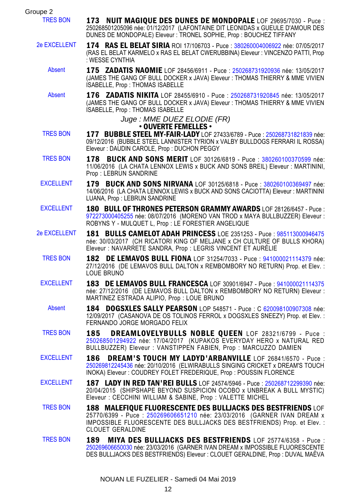| Groupe 2            |                                                                                                                                                                                                                                        |
|---------------------|----------------------------------------------------------------------------------------------------------------------------------------------------------------------------------------------------------------------------------------|
| <b>TRES BON</b>     | 173 NUIT MAGIQUE DES DUNES DE MONDOPALE LOF 29695/7030 - Puce :<br>250268501205096 née: 01/12/2017 (LAFONTAINE DIT LEONIDAS x GUEULE D'AMOUR DES<br>DUNES DE MONDOPALE) Eleveur : TRONEL SOPHIE, Prop : BOUCHEZ TIFFANY                |
| <b>2e EXCELLENT</b> | 174 RAS EL BELAT SIRIA ROI 17/106703 - Puce : 380260004006922 née: 07/05/2017<br>(RAS EL BELAT KARMELO x RAS EL BELAT CWERUBBINA) Eleveur : VINCENZO PATTI, Prop<br>: WESSE CYNTHIA                                                    |
| Absent              | 175 ZADATIS NAOMIE LOF 28456/6911 - Puce: 250268731920936 née: 13/05/2017<br>(JAMES THE GANG OF BULL DOCKER x JAVA) Eleveur : THOMAS THIERRY & MME VIVIEN<br>ISABELLE, Prop: THOMAS ISABELLE                                           |
| Absent              | 176 ZADATIS NIKITA LOF 28455/6910 - Puce: 250268731920845 née: 13/05/2017<br>(JAMES THE GANG OF BULL DOCKER x JAVA) Eleveur : THOMAS THIERRY & MME VIVIEN<br>ISABELLE, Prop: THOMAS ISABELLE                                           |
|                     | Juge : MME DUEZ ELODIE (FR)<br>• OUVERTE FEMELLES •                                                                                                                                                                                    |
| <b>TRES BON</b>     | 177 BUBBLE STEEL MY-FAIR-LADY LOF 27433/6789 - Puce: 250268731821839 née:<br>09/12/2016 (BUBBLE STEEL LANNISTER TYRION x VALBY BULLDOGS FERRARI IL ROSSA)<br>Eleveur : DAUDIN CAROLE, Prop : DUCHON PEGGY                              |
| <b>TRES BON</b>     | <b>BUCK AND SONS MERIT</b> LOF 30126/6819 - Puce: 380260100370599 née:<br>178<br>11/06/2016 (LA CHATA LENNOX LEWIS x BUCK AND SONS BREIL) Eleveur : MARTININI,<br>Prop: LEBRUN SANDRINE                                                |
| <b>EXCELLENT</b>    | 179 BUCK AND SONS NIRVANA LOF 30125/6818 - Puce: 380260100369497 née:<br>14/06/2016 (LA CHATA LENNOX LEWIS x BUCK AND SONS CACIOTTA) Eleveur : MARTININI<br>LUANA, Prop : LEBRUN SANDRINE                                              |
| <b>EXCELLENT</b>    | 180 BULL OF THRONES PETERSON GRAMMY AWARDS LOF 28126/6457 - Puce:<br>972273000405255 née: 08/07/2016 (MORENO VAN TROD x MAYA BULLBUZZER) Eleveur :<br>ROBYNS Y - MULQUET L, Prop : LE FORESTIER ANGELIQUE                              |
| <b>2e EXCELLENT</b> | 181 BULLS CAMELOT ADAH PRINCESS LOE 2351253 - Puce: 985113000946475<br>née: 30/03/2017 (CH RICATORI KING OF MELJANE x CH CULTURE OF BULLS KHORA)<br>Eleveur : NAVARRETE SANDRA, Prop : LEGRIS VINCENT ET AURÉLIE                       |
| <b>TRES BON</b>     | 182 DE LEMAVOS BULL FIONA LOF 31254/7033 - Puce : 941000021114379 née:<br>27/12/2016 (DE LEMAVOS BULL DALTON x REMBOMBORY NO RETURN) Prop. et Elev. :<br>LOUE BRUNO                                                                    |
| <b>EXCELLENT</b>    | 183 DE LEMAVOS BULL FRANCESCA LOF 30901/6947 - Puce : 941000021114375<br>née: 27/12/2016 (DE LEMAVOS BULL DALTON x REMBOMBORY NO RETURN) Eleveur :<br>MARTINEZ ESTRADA ALIPIO, Prop : LOUE BRUNO                                       |
| <b>Absent</b>       | <b>DOGSXLES SALLY PEARSON</b> LOP 548571 - Puce: C 620098100907308 née:<br>184<br>12/09/2017 (CASANOVA DE OS TOLINOS FERROL x DOGSXLES SNEEZY) Prop. et Elev. :<br>FERNANDO JORGE MORGADO FELIX                                        |
| <b>TRES BON</b>     | DREAMLOVELYBULLS NOBLE QUEEN LOF 28321/6799 - Puce :<br>185<br>250268501294922 née: 17/04/2017 (KUPAKOS EVERYDAY HERO x NATURAL RED<br>BULLBUZZER) Eleveur: VANSTIPPEN FABIEN, Prop: MARCUZZO DAMIEN                                   |
| <b>EXCELLENT</b>    | <b>DREAM'S TOUCH MY LADYD'ARBANVILLE LOF 26841/6570 - Puce:</b><br>186<br>250269812245436 née: 20/10/2016 (ELWIRABULLS SINGING CRICKET x DREAM'S TOUCH<br>INOKA) Eleveur : COUDREY FOLET FREDERIQUE, Prop : POUSSIN FLORENCE           |
| <b>EXCELLENT</b>    | 187 LADY IN RED TAN'REI BULLS LOF 24574/5946 - Puce : 250268712299390 née:<br>20/04/2015 (SHIPSHAPE BEYOND SUSPICION OCOBO x UNBREAK A BULL MYSTIC)<br>Eleveur: CECCHINI WILLIAM & SABINE, Prop: VALETTE MICHEL                        |
| <b>TRES BON</b>     | 188 MALEFIOUE FLUORESCENTE DES BULLJACKS DES BESTFRIENDS LOF<br>25770/6399 - Puce: 250269606651210 née: 23/03/2016 (GARNER IVAN DREAM x<br>IMPOSSIBLE FLUORESCENTE DES BULLJACKS DES BESTFRIENDS) Prop. et Elev. :<br>CLOUET GERALDINE |
| <b>TRES BON</b>     | MIYA DES BULLJACKS DES BESTFRIENDS LOF 25774/6358 - Puce :<br>189<br>250269606650030 née: 23/03/2016 (GARNER IVAN DREAM x IMPOSSIBLE FLUORESCENTE<br>DES BULLJACKS DES BESTFRIENDS) Eleveur : CLOUET GERALDINE, Prop : DUVAL MAEVA     |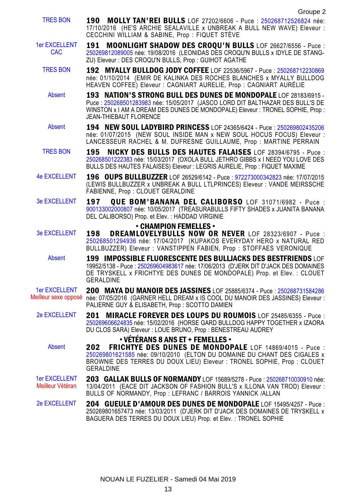- TRES BON 190 MOLLY TAN'REI BULLS LOF 27202/6606 Puce : [250268712526824](https://www.centrale-canine.fr/lofselect/chien-ws/6608776) née: 17/10/2016 (HE'S ARCHIE SEALAVILLE x UNBREAK A BULL NEW WAVE) Eleveur : CECCHINI WILLIAM & SABINE, Prop : FIQUET STÈVE
- 1er EXCELLENT CAC. 191 MOONLIGHT SHADOW DES CROQU'N BULLS LOF 26627/6556 - Puce : [250269812089005](https://www.centrale-canine.fr/lofselect/chien-ws/6538473) née: 19/08/2016 (LEONIDAS DES CROQU'N BULLS x IDYLE DE STANG-ZU) Eleveur : DES CROQU'N BULLS, Prop : GUIHOT AGATHE
	- TRES BON 192 MYALLY BULLDOG JODY COFFEE LOF 22536/5967 Puce : [250268712230869](https://www.centrale-canine.fr/lofselect/chien-ws/6066089) née: 01/10/2014 (EMIR DE KALINKA DES ROCHES BLANCHES x MYALLY BULLDOG HEAVEN COFFEE) Eleveur : CAGNIART AURELIE, Prop : CAGNIART AURÉLIE
		- Absent **193 NATION'S STRONG BULL DES DUNES DE MONDOPALE** LOF 28183/6915 -Puce : [250268501283983](https://www.centrale-canine.fr/lofselect/chien-ws/6733732) née: 15/05/2017 (JASCO LORD DIT BALTHAZAR DES BULL'S DE WINSTON x I AM A DREAM DES DUNES DE MONDOPALE) Eleveur : TRONEL SOPHIE, Prop : JEAN-THIEBAUT FLORENCE
		- Absent 194 NEW SOUL LADYBIRD PRINCESS LOF 24365/6424 Puce : [250269802435206](https://www.centrale-canine.fr/lofselect/chien-ws/6276755) née: 01/07/2015 (NEW SOUL INSIDE MAN x NEW SOUL HOCUS FOCUS) Eleveur : LANCESSEUR RACHEL & M. DUFRESNE GUILLAUME, Prop : MARTINE PERRAIN
	- TRES BON 195 NICKY DES BULLS DES HAUTES FALAISES LOF 28394/6795 Puce : [250268501222383](https://www.centrale-canine.fr/lofselect/chien-ws/6767098) née: 15/03/2017 (OXOLA BULL JETHRO GIBBS x I NEED YOU LOVE DES BULLS DES HAUTES FALAISES) Eleveur : LEGRIS AURELIE, Prop : FIQUET MAXIME
- 4e EXCELLENT 196 OUPS BULLBUZZER LOF 26529/6142 Puce : [972273000342823](https://www.centrale-canine.fr/lofselect/chien-ws/6345139) née: 17/07/2015 (LEWIS BULLBUZZER x UNBREAK A BULL LTLPRINCES) Eleveur : VANDE MEIRSSCHE FABIENNE, Prop : CLOUET GERALDINE
- 3e EXCELLENT 197 QUE BOM'BANANA DEL CALIBORSO LOF 31071/6982 Puce : [900133002000807](https://www.centrale-canine.fr/lofselect/chien-ws/6965810) née: 10/05/2017 (TREASURABULLS FIFTY SHADES x JUANITA BANANA DEL CALIBORSO) Prop. et Elev. : HADDAD VIRGINIE

### • CHAMPION FEMELLES •

- 3e EXCELLENT 198 DREAMLOVELYBULLS NOW OR NEVER LOF 28323/6907 Puce : [250268501294936](https://www.centrale-canine.fr/lofselect/chien-ws/6755053) née: 17/04/2017 (KUPAKOS EVERYDAY HERO x NATURAL RED BULLBUZZER) Eleveur : VANSTIPPEN FABIEN, Prop : STOFFAES VERONIQUE
	- Absent 199 IMPOSSIBLE FLUORESCENTE DES BULLJACKS DES BESTFRIENDS LOF 19952/5138 - Puce : [250269604983617](https://www.centrale-canine.fr/lofselect/chien-ws/5760903) née: 17/06/2013 (D'JERK DIT D'JACK DES DOMAINES DE TRYSKELL x FRICHTYE DES DUNES DE MONDOPALE) Prop. et Elev. : CLOUET GERALDINE
- 1er EXCELLENT Meilleur sexe opposé née: 07/05/2016 (GARNER HELL DREAM x IS COOL DU MANOIR DES JASSINES) Eleveur : 200 MAYA DU MANOIR DES JASSINES LOF 25885/6374 - Puce : [250268731584286](https://www.centrale-canine.fr/lofselect/chien-ws/6448152) PALIERNE GUY & ELISABETH, Prop : SCOTTO DAMIEN
	- 2e EXCELLENT 201 MIRACLE FOREVER DES LOUPS DU ROUMOIS LOF 25485/6355 Puce : [250269606624835](https://www.centrale-canine.fr/lofselect/chien-ws/6401858) née: 15/02/2016 (HORSE GARD BULLDOG HAPPY TOGETHER x IZAORA DU CLOS SARA) Eleveur : LOUE BRUNO, Prop : BENESTREAU AUDREY

# • VÉTÉRANS 8 ANS ET + FEMELLES •

Absent **202 FRICHTYE DES DUNES DE MONDOPALE** LOF 14869/4015 - Puce : [250269801621585](https://www.centrale-canine.fr/lofselect/chien-ws/5142417) née: 09/10/2010 (ELTON DU DOMAINE DU CHANT DES CIGALES x BROWNIE DES TERRES DU DOUX LIEU) Eleveur : TRONEL SOPHIE, Prop : CLOUET GERALDINE

- 1er EXCELLENT Meilleur Vétéran 203 GALLAK BULLS OF NORMANDY LOF 15689/5278 - Puce : [250268710030910](https://www.centrale-canine.fr/lofselect/chien-ws/5243143) née: 13/04/2011 (EACE DIT JACKSON OF FASHION BULL'S x ILLONA VAN TROD) Eleveur : BULLS OF NORMANDY, Prop : LEFRANC / BARROIS YANNICK /ALLAN
- 2e EXCELLENT 204 GUEULE D'AMOUR DES DUNES DE MONDOPALE LOF 15495/4257 Puce : 250269801657473 née: 13/03/2011 (D'JERK DIT D'JACK DES DOMAINES DE TRYSKELL x BAGUERA DES TERRES DU DOUX LIEU) Prop. et Elev. : TRONEL SOPHIE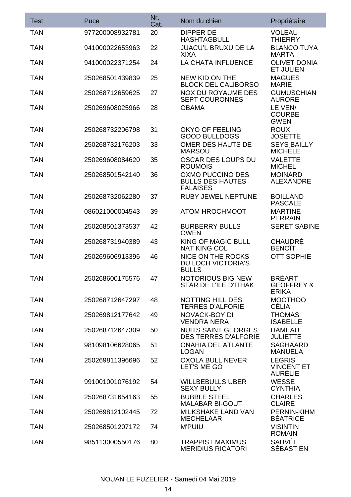| Test       | Puce            | Nr.<br>Cat. | Nom du chien                                                   | Propriétaire                                           |
|------------|-----------------|-------------|----------------------------------------------------------------|--------------------------------------------------------|
| <b>TAN</b> | 977200008932781 | 20          | DIPPER DE<br>HASHTAGBULL                                       | VOLEAU<br>THIERRY                                      |
| <b>TAN</b> | 941000022653963 | 22          | JUACU'L BRUXU DE LA<br>XIXA                                    | <b>BLANCO TUYA</b><br>MARTA                            |
| <b>TAN</b> | 941000022371254 | 24          | LA CHATA INFLUENCE                                             | OLIVET DONIA<br>ET JULIEN                              |
| <b>TAN</b> | 250268501439839 | 25          | NEW KID ON THE<br><b>BLOCK DEL CALIBORSO</b>                   | <b>MAGUES</b><br>MARIE                                 |
| <b>TAN</b> | 250268712659625 | 27          | NOX DU ROYAUME DES<br><b>SEPT COURONNES</b>                    | <b>GUMUSCHIAN</b><br>AURORE                            |
| <b>TAN</b> | 250269608025966 | 28          | <b>OBAMA</b>                                                   | LE VEN/<br>COURBE<br>GWEN                              |
| TAN        | 250268732206798 | 31          | OKYO OF FEELING<br><b>GOOD BULLDOGS</b>                        | <b>ROUX</b><br>JOSETTE                                 |
| <b>TAN</b> | 250268732176203 | 33          | OMER DES HAUTS DE<br>MARSOU                                    | <b>SEYS BAILLY</b><br>MICHELE                          |
| TAN        | 250269608084620 | 35          | OSCAR DES LOUPS DU<br><b>ROUMOIS</b>                           | VALETTE<br><b>MICHEL</b>                               |
| <b>TAN</b> | 250268501542140 | 36          | OXMO PUCCINO DES<br><b>BULLS DES HAUTES</b><br><b>FALAISES</b> | <b>MOINARD</b><br>ALEXANDRE                            |
| TAN        | 250268732062280 | 37          | <b>RUBY JEWEL NEPTUNE</b>                                      | <b>BOILLAND</b><br>PASCALE                             |
| <b>TAN</b> | 086021000004543 | 39          | ATOM HROCHMOOT                                                 | <b>MARTINE</b><br><b>PERRAIN</b>                       |
| <b>TAN</b> | 250268501373537 | 42          | <b>BURBERRY BULLS</b><br><b>OWEN</b>                           | <b>SERET SABINE</b>                                    |
| <b>TAN</b> | 250268731940389 | 43          | KING OF MAGIC BULL<br><b>NAT KING COL</b>                      | <b>CHAUDRE</b><br><b>BENOIT</b>                        |
| <b>TAN</b> | 250269606913396 | 46          | NICE ON THE ROCKS<br>DU LOCH VICTORIA'S<br><b>BULLS</b>        | <b>OTT SOPHIE</b>                                      |
| <b>TAN</b> | 250268600175576 | 47          | NOTORIOUS BIG NEW<br>STAR DE L'ILE D'ITHAK                     | <b>BRÉART</b><br><b>GEOFFREY &amp;</b><br><b>ERIKA</b> |
| TAN        | 250268712647297 | 48          | NOTTING HILL DES<br><b>TERRES D'ALFORIE</b>                    | <b>MOOTHOO</b><br>CELIA                                |
| <b>TAN</b> | 250269812177642 | 49          | NOVACK-BOY DI<br>VENDRA NERA                                   | THOMAS<br><b>ISABELLE</b>                              |
| TAN        | 250268712647309 | 50          | <b>NUITS SAINT GEORGES</b><br><b>DES TERRES D'ALFORIE</b>      | HAMEAU<br>JULIETTE                                     |
| <b>TAN</b> | 981098106628065 | 51          | <b>ONAHIA DEL ATLANTE</b><br>LOGAN                             | SAGHAARD<br><b>MANUELA</b>                             |
| <b>TAN</b> | 250269811396696 | 52          | OXOLA BULL NEVER<br>LET'S ME GO                                | LEGRIS<br>VINCENT ET<br>AURELIE                        |
| TAN        | 991001001076192 | 54          | <b>WILLBEBULLS UBER</b><br>SEXY BULLY                          | <b>WESSE</b><br><b>CYNTHIA</b>                         |
| <b>TAN</b> | 250268731654163 | 55          | <b>BUBBLE STEEL</b><br>MALABAR BI-GOUT                         | CHARLES<br><b>CLAIRE</b>                               |
| <b>TAN</b> | 250269812102445 | 72          | MILKSHAKE LAND VAN<br>MECHELAAR                                | PERNIN-KIHM<br><b>BEATRICE</b>                         |
| <b>TAN</b> | 250268501207172 | 74          | <b>M'PUIU</b>                                                  | VISINTIN<br><b>ROMAIN</b>                              |
| <b>TAN</b> | 985113000550176 | 80          | <b>TRAPPIST MAXIMUS</b><br><b>MERIDIUS RICATORI</b>            | SAUVÉE<br>SÉBASTIEN                                    |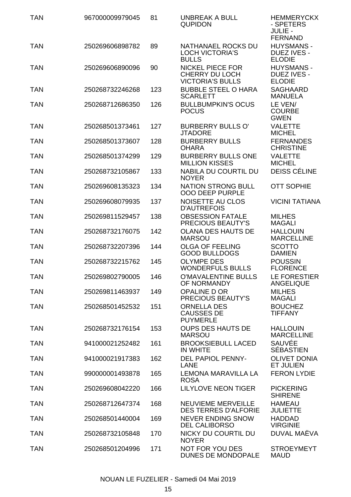| TAN        | 967000009979045 | 81  | UNBREAK A BULL<br>QUPIDON                                     | <b>HEMMERYCKX</b><br>- SPETERS<br>JULIE -<br>FERNAND |
|------------|-----------------|-----|---------------------------------------------------------------|------------------------------------------------------|
| TAN        | 250269606898782 | 89  | NATHANAEL ROCKS DU<br><b>LOCH VICTORIA'S</b><br><b>BULLS</b>  | HUYSMANS -<br>DUEZ IVES -<br><b>ELODIE</b>           |
| TAN        | 250269606890096 | 90  | NICKEL PIECE FOR<br>CHERRY DU LOCH<br><b>VICTORIA'S BULLS</b> | <b>HUYSMANS -</b><br>DUEZ IVES -<br><b>ELODIE</b>    |
| TAN        | 250268732246268 | 123 | <b>BUBBLE STEEL O HARA</b><br><b>SCARLETT</b>                 | SAGHAARD<br><b>MANUELA</b>                           |
| <b>TAN</b> | 250268712686350 | 126 | <b>BULLBUMPKIN'S OCUS</b><br><b>POCUS</b>                     | LE VEN/<br><b>COURBE</b><br><b>GWEN</b>              |
| <b>TAN</b> | 250268501373461 | 127 | <b>BURBERRY BULLS O'</b><br>JTADORE                           | <b>VALETTE</b><br><b>MICHEL</b>                      |
| <b>TAN</b> | 250268501373607 | 128 | <b>BURBERRY BULLS</b><br><b>OHARA</b>                         | <b>FERNANDES</b><br><b>CHRISTINE</b>                 |
| TAN        | 250268501374299 | 129 | <b>BURBERRY BULLS ONE</b><br><b>MILLION KISSES</b>            | <b>VALETTE</b><br><b>MICHEL</b>                      |
| TAN        | 250268732105867 | 133 | NABILA DU COURTIL DU<br><b>NOYER</b>                          | DEISS CÉLINE                                         |
| TAN        | 250269608135323 | 134 | NATION STRONG BULL<br><b>OOO DEEP PURPLE</b>                  | <b>OTT SOPHIE</b>                                    |
| TAN        | 250269608079935 | 137 | NOISETTE AU CLOS<br><b>D'AUTREFOIS</b>                        | <b>VICINI TATIANA</b>                                |
| TAN        | 250269811529457 | 138 | <b>OBSESSION FATALE</b><br>PRECIOUS BEAUTY'S                  | <b>MILHES</b><br>MAGALI                              |
| TAN        | 250268732176075 | 142 | <b>OLANA DES HAUTS DE</b><br><b>MARSOU</b>                    | <b>HALLOUIN</b><br><b>MARCELLINE</b>                 |
| TAN        | 250268732207396 | 144 | OLGA OF FEELING<br><b>GOOD BULLDOGS</b>                       | SCOTTO<br><b>DAMIEN</b>                              |
| TAN        | 250268732215762 | 145 | OLYMPE DES<br><b>WONDERFULS BULLS</b>                         | <b>POUSSIN</b><br><b>FLORENCE</b>                    |
| TAN        | 250269802790005 | 146 | O'MAVALENTINE BULLS<br>OF NORMANDY                            | LE FORESTIER<br>ANGELIQUE                            |
| TAN        | 250269811463937 | 149 | OPALINE D OR<br>PRECIOUS BEAUTY'S                             | <b>MILHES</b><br>MAGALI                              |
| <b>TAN</b> | 250268501452532 | 151 | ORNELLA DES<br>CAUSSES DE<br><b>PUYMERLE</b>                  | <b>BOUCHEZ</b><br><b>TIFFANY</b>                     |
| TAN        | 250268732176154 | 153 | <b>OUPS DES HAUTS DE</b><br><b>MARSOU</b>                     | <b>HALLOUIN</b><br><b>MARCELLINE</b>                 |
| <b>TAN</b> | 941000021252482 | 161 | <b>BROOKSIEBULL LACED</b><br><b>IN WHITE</b>                  | SAUVÉE<br>SÉBASTIEN                                  |
| TAN        | 941000021917383 | 162 | <b>DEL PAPIOL PENNY-</b><br>LANE                              | <b>OLIVET DONIA</b><br>ET JULIEN                     |
| TAN        | 990000001493878 | 165 | LEMONA MARAVILLA LA<br><b>ROSA</b>                            | <b>FERON LYDIE</b>                                   |
| TAN        | 250269608042220 | 166 | <b>LILYLOVE NEON TIGER</b>                                    | <b>PICKERING</b><br><b>SHIRENE</b>                   |
| <b>TAN</b> | 250268712647374 | 168 | <b>NEUVIEME MERVEILLE</b><br><b>DES TERRES D'ALFORIE</b>      | <b>HAMEAU</b><br><b>JULIETTE</b>                     |
| <b>TAN</b> | 250268501440004 | 169 | <b>NEVER ENDING SNOW</b><br><b>DEL CALIBORSO</b>              | HADDAD<br><b>VIRGINIE</b>                            |
| <b>TAN</b> | 250268732105848 | 170 | NICKY DU COURTIL DU<br><b>NOYER</b>                           | DUVAL MAËVA                                          |
| TAN        | 250268501204996 | 171 | NOT FOR YOU DES<br>DUNES DE MONDOPALE                         | <b>STROEYMEYT</b><br>MAUD                            |